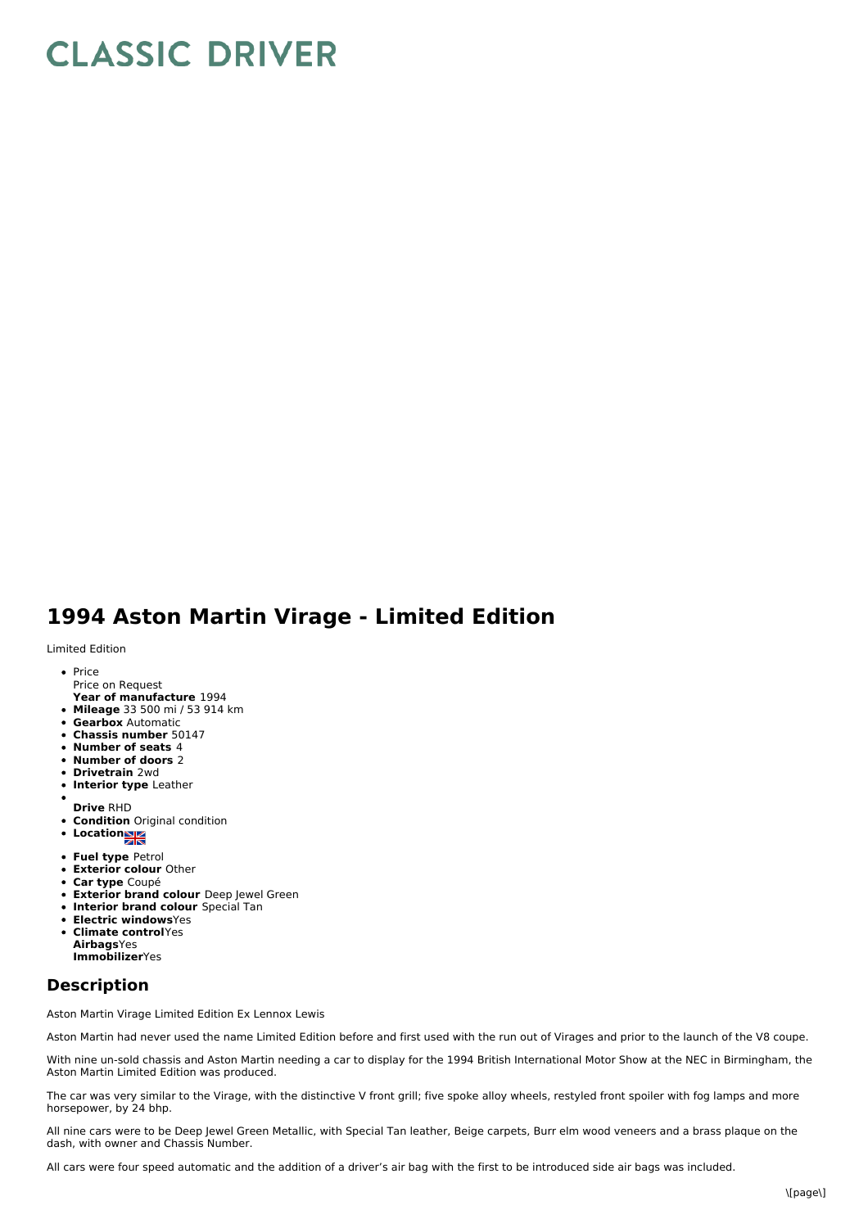## **CLASSIC DRIVER**

## **1994 Aston Martin Virage - Limited Edition**

Limited Edition

- Price Price on Request
- **Year of manufacture** 1994
- **Mileage** 33 500 mi / 53 914 km
- **Gearbox** Automatic
- **Chassis number** 50147
- **Number of seats** 4
- **Number of doors** 2
- **Drivetrain** 2wd
- **Interior type** Leather
- **Drive** RHD
- **Condition** Original condition
- **Locations**
- **Fuel type** Petrol
- **Exterior colour** Other
- **Car type** Coupé
- **Exterior brand colour** Deep Jewel Green
- **Interior brand colour** Special Tan
- $\bullet$ **Electric windows**Yes
- **Climate control**Yes **Airbags**Yes **Immobilizer**Yes

## **Description**

Aston Martin Virage Limited Edition Ex Lennox Lewis

Aston Martin had never used the name Limited Edition before and first used with the run out of Virages and prior to the launch of the V8 coupe.

With nine un-sold chassis and Aston Martin needing a car to display for the 1994 British International Motor Show at the NEC in Birmingham, the Aston Martin Limited Edition was produced.

The car was very similar to the Virage, with the distinctive V front grill; five spoke alloy wheels, restyled front spoiler with fog lamps and more horsepower, by 24 bhp.

All nine cars were to be Deep Jewel Green Metallic, with Special Tan leather, Beige carpets, Burr elm wood veneers and a brass plaque on the dash, with owner and Chassis Number.

All cars were four speed automatic and the addition of a driver's air bag with the first to be introduced side air bags was included.